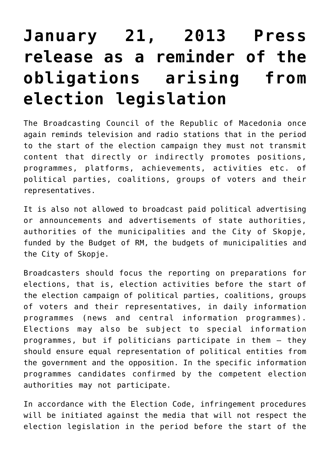## **[January 21, 2013 Press](https://avmu.mk/en/2013/01/21/january-21-2013-press-release-as-a-reminder-of-the-obligations-arising-from-election-legislation/) [release as a reminder of the](https://avmu.mk/en/2013/01/21/january-21-2013-press-release-as-a-reminder-of-the-obligations-arising-from-election-legislation/) [obligations arising from](https://avmu.mk/en/2013/01/21/january-21-2013-press-release-as-a-reminder-of-the-obligations-arising-from-election-legislation/) [election legislation](https://avmu.mk/en/2013/01/21/january-21-2013-press-release-as-a-reminder-of-the-obligations-arising-from-election-legislation/)**

The Broadcasting Council of the Republic of Macedonia once again reminds television and radio stations that in the period to the start of the election campaign they must not transmit content that directly or indirectly promotes positions, programmes, platforms, achievements, activities etc. of political parties, coalitions, groups of voters and their representatives.

It is also not allowed to broadcast paid political advertising or announcements and advertisements of state authorities, authorities of the municipalities and the City of Skopje, funded by the Budget of RM, the budgets of municipalities and the City of Skopje.

Broadcasters should focus the reporting on preparations for elections, that is, election activities before the start of the election campaign of political parties, coalitions, groups of voters and their representatives, in daily information programmes (news and central information programmes). Elections may also be subject to special information programmes, but if politicians participate in them – they should ensure equal representation of political entities from the government and the opposition. In the specific information programmes candidates confirmed by the competent election authorities may not participate.

In accordance with the Election Code, infringement procedures will be initiated against the media that will not respect the election legislation in the period before the start of the